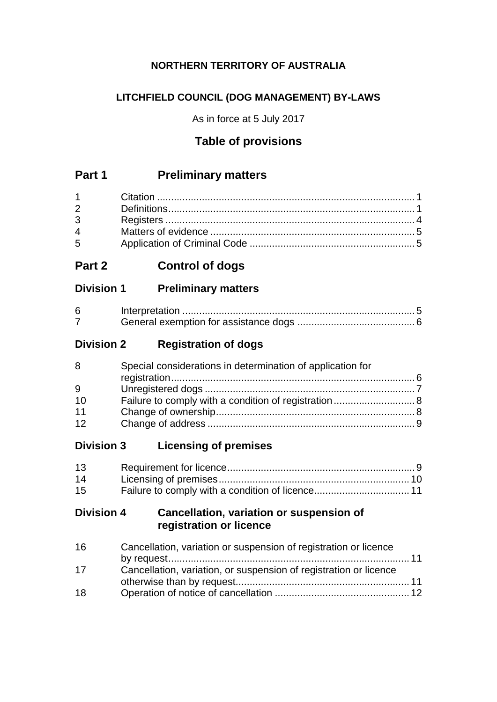# **NORTHERN TERRITORY OF AUSTRALIA**

# **LITCHFIELD COUNCIL (DOG MANAGEMENT) BY-LAWS**

As in force at 5 July 2017

# **Table of provisions**

# **Part 1 Preliminary matters**

| $2 \left( \frac{1}{2} \right)$ |  |
|--------------------------------|--|
| $3^{\circ}$                    |  |
| $\overline{4}$                 |  |
| $5^{\circ}$                    |  |

# **Part 2 Control of dogs**

# **Division 1 Preliminary matters**

# **Division 2 Registration of dogs**

| 8  | Special considerations in determination of application for |  |
|----|------------------------------------------------------------|--|
|    |                                                            |  |
| 9  |                                                            |  |
| 10 |                                                            |  |
| 11 |                                                            |  |
| 12 |                                                            |  |

# **Division 3 Licensing of premises**

| 13 |  |
|----|--|
| 14 |  |
| 15 |  |

# **Division 4 Cancellation, variation or suspension of registration or licence**

| Cancellation, variation or suspension of registration or licence  |  |
|-------------------------------------------------------------------|--|
|                                                                   |  |
| Cancellation, variation, or suspension of registration or licence |  |
|                                                                   |  |
|                                                                   |  |
|                                                                   |  |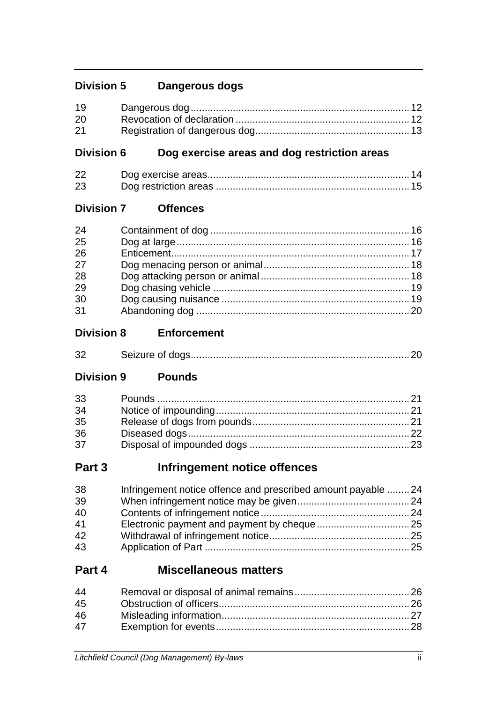# **Division 5 Dangerous dogs**

| 19 |  |
|----|--|
| 20 |  |
| 21 |  |

# **Division 6 Dog exercise areas and dog restriction areas**

| 22 |  |
|----|--|
| 23 |  |

# **Division 7 Offences**

| 24 |  |
|----|--|
| 25 |  |
| 26 |  |
| 27 |  |
| 28 |  |
| 29 |  |
| 30 |  |
| 31 |  |

# **Division 8 Enforcement**

| 32 |  |
|----|--|
|    |  |

# **Division 9 Pounds**

| 33 |  |
|----|--|
| 34 |  |
| 35 |  |
| 36 |  |
| 37 |  |

# **Part 3 Infringement notice offences**

| 38 | Infringement notice offence and prescribed amount payable 24 |  |
|----|--------------------------------------------------------------|--|
| 39 |                                                              |  |
| 40 |                                                              |  |
| 41 |                                                              |  |
| 42 |                                                              |  |
| 43 |                                                              |  |

# **Part 4 Miscellaneous matters**

| 44 |  |
|----|--|
| 45 |  |
| 46 |  |
| 47 |  |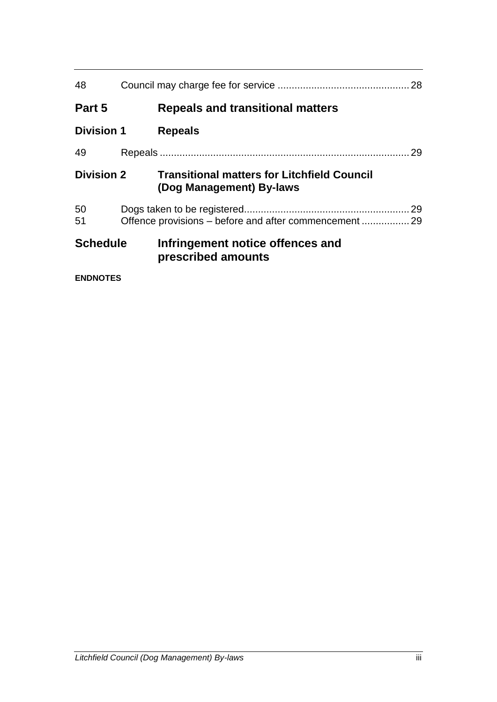| 48                |  | 28                                                                             |    |
|-------------------|--|--------------------------------------------------------------------------------|----|
| Part 5            |  | <b>Repeals and transitional matters</b>                                        |    |
| <b>Division 1</b> |  | <b>Repeals</b>                                                                 |    |
| 49                |  |                                                                                | 29 |
| <b>Division 2</b> |  | <b>Transitional matters for Litchfield Council</b><br>(Dog Management) By-laws |    |
| 50<br>51          |  |                                                                                | 29 |
| <b>Schedule</b>   |  | Infringement notice offences and<br>prescribed amounts                         |    |
| <b>ENDNOTES</b>   |  |                                                                                |    |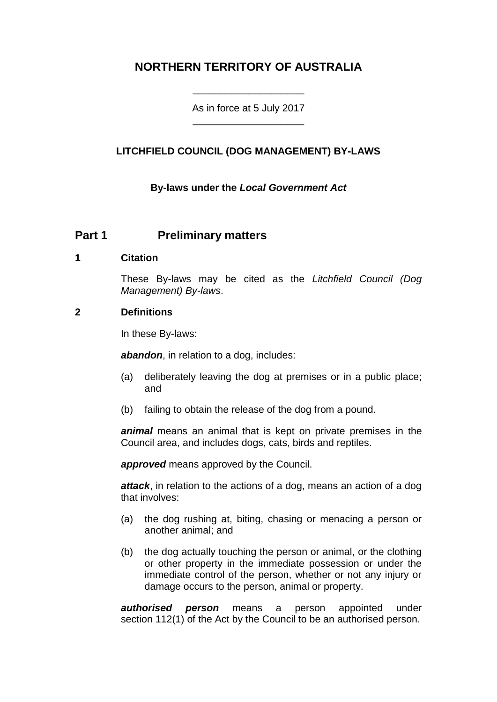# **NORTHERN TERRITORY OF AUSTRALIA**

As in force at 5 July 2017 \_\_\_\_\_\_\_\_\_\_\_\_\_\_\_\_\_\_\_\_

\_\_\_\_\_\_\_\_\_\_\_\_\_\_\_\_\_\_\_\_

### **LITCHFIELD COUNCIL (DOG MANAGEMENT) BY-LAWS**

**By-laws under the** *Local Government Act*

# **Part 1 Preliminary matters**

### **1 Citation**

These By-laws may be cited as the *Litchfield Council (Dog Management) By-laws*.

### **2 Definitions**

In these By-laws:

*abandon*, in relation to a dog, includes:

- (a) deliberately leaving the dog at premises or in a public place; and
- (b) failing to obtain the release of the dog from a pound.

*animal* means an animal that is kept on private premises in the Council area, and includes dogs, cats, birds and reptiles.

*approved* means approved by the Council.

*attack*, in relation to the actions of a dog, means an action of a dog that involves:

- (a) the dog rushing at, biting, chasing or menacing a person or another animal; and
- (b) the dog actually touching the person or animal, or the clothing or other property in the immediate possession or under the immediate control of the person, whether or not any injury or damage occurs to the person, animal or property.

*authorised person* means a person appointed under section 112(1) of the Act by the Council to be an authorised person.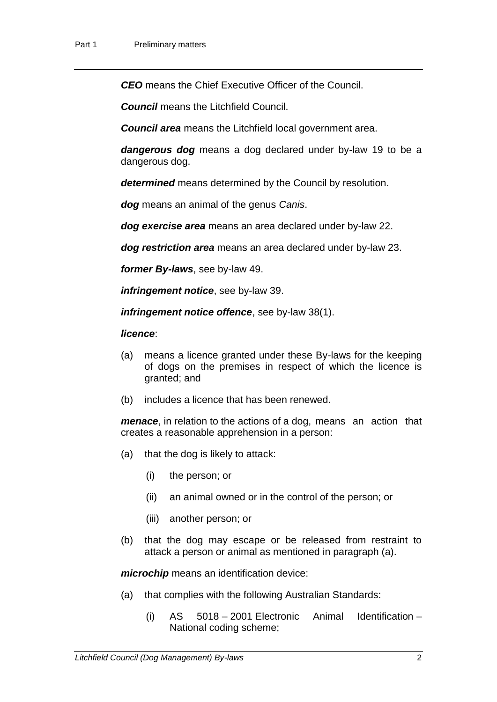*CEO* means the Chief Executive Officer of the Council.

*Council* means the Litchfield Council.

*Council area* means the Litchfield local government area.

*dangerous dog* means a dog declared under by-law 19 to be a dangerous dog.

*determined* means determined by the Council by resolution.

*dog* means an animal of the genus *Canis*.

*dog exercise area* means an area declared under by-law 22.

*dog restriction area* means an area declared under by-law 23.

*former By-laws*, see by-law 49.

*infringement notice*, see by-law 39.

*infringement notice offence*, see by-law 38(1).

#### *licence*:

- (a) means a licence granted under these By-laws for the keeping of dogs on the premises in respect of which the licence is granted; and
- (b) includes a licence that has been renewed.

*menace*, in relation to the actions of a dog, means an action that creates a reasonable apprehension in a person:

- (a) that the dog is likely to attack:
	- (i) the person; or
	- (ii) an animal owned or in the control of the person; or
	- (iii) another person; or
- (b) that the dog may escape or be released from restraint to attack a person or animal as mentioned in paragraph (a).

*microchip* means an identification device:

- (a) that complies with the following Australian Standards:
	- (i) AS 5018 2001 Electronic Animal Identification National coding scheme;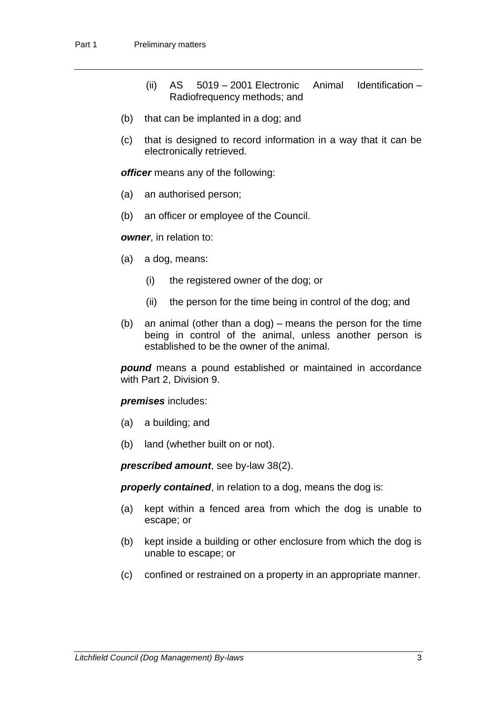- (ii) AS 5019 2001 Electronic Animal Identification Radiofrequency methods; and
- (b) that can be implanted in a dog; and
- (c) that is designed to record information in a way that it can be electronically retrieved.

*officer* means any of the following:

- (a) an authorised person;
- (b) an officer or employee of the Council.

*owner*, in relation to:

- (a) a dog, means:
	- (i) the registered owner of the dog; or
	- (ii) the person for the time being in control of the dog; and
- (b) an animal (other than a dog) means the person for the time being in control of the animal, unless another person is established to be the owner of the animal.

*pound* means a pound established or maintained in accordance with Part 2, Division 9.

*premises* includes:

- (a) a building; and
- (b) land (whether built on or not).

*prescribed amount*, see by-law 38(2).

**properly contained**, in relation to a dog, means the dog is:

- (a) kept within a fenced area from which the dog is unable to escape; or
- (b) kept inside a building or other enclosure from which the dog is unable to escape; or
- (c) confined or restrained on a property in an appropriate manner.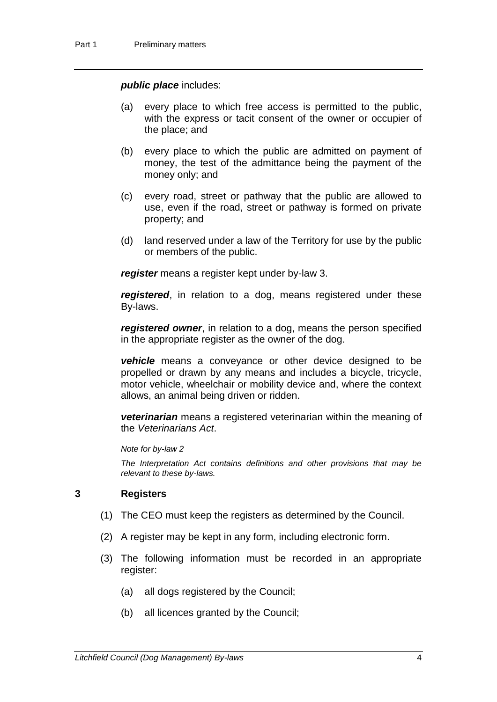#### *public place* includes:

- (a) every place to which free access is permitted to the public, with the express or tacit consent of the owner or occupier of the place; and
- (b) every place to which the public are admitted on payment of money, the test of the admittance being the payment of the money only; and
- (c) every road, street or pathway that the public are allowed to use, even if the road, street or pathway is formed on private property; and
- (d) land reserved under a law of the Territory for use by the public or members of the public.

*register* means a register kept under by-law 3.

*registered*, in relation to a dog, means registered under these By-laws.

*registered owner*, in relation to a dog, means the person specified in the appropriate register as the owner of the dog.

*vehicle* means a conveyance or other device designed to be propelled or drawn by any means and includes a bicycle, tricycle, motor vehicle, wheelchair or mobility device and, where the context allows, an animal being driven or ridden.

*veterinarian* means a registered veterinarian within the meaning of the *Veterinarians Act*.

*Note for by-law 2*

*The Interpretation Act contains definitions and other provisions that may be relevant to these by-laws.*

### **3 Registers**

- (1) The CEO must keep the registers as determined by the Council.
- (2) A register may be kept in any form, including electronic form.
- (3) The following information must be recorded in an appropriate register:
	- (a) all dogs registered by the Council;
	- (b) all licences granted by the Council;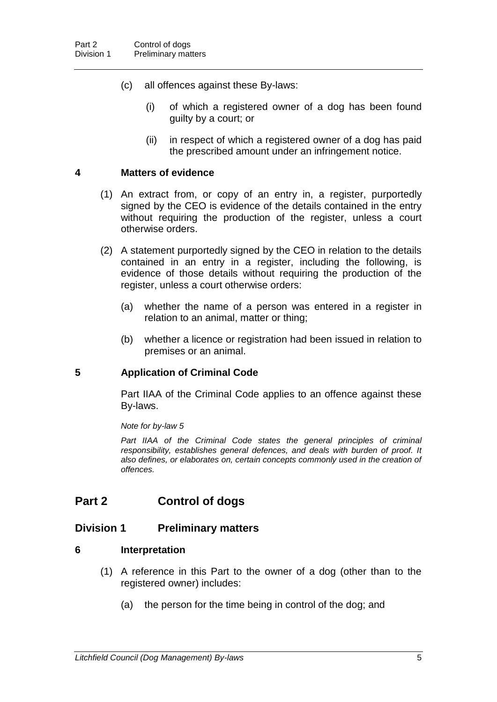- (c) all offences against these By-laws:
	- (i) of which a registered owner of a dog has been found guilty by a court; or
	- (ii) in respect of which a registered owner of a dog has paid the prescribed amount under an infringement notice.

### **4 Matters of evidence**

- (1) An extract from, or copy of an entry in, a register, purportedly signed by the CEO is evidence of the details contained in the entry without requiring the production of the register, unless a court otherwise orders.
- (2) A statement purportedly signed by the CEO in relation to the details contained in an entry in a register, including the following, is evidence of those details without requiring the production of the register, unless a court otherwise orders:
	- (a) whether the name of a person was entered in a register in relation to an animal, matter or thing;
	- (b) whether a licence or registration had been issued in relation to premises or an animal.

### **5 Application of Criminal Code**

Part IIAA of the Criminal Code applies to an offence against these By-laws.

*Note for by-law 5*

Part IIAA of the Criminal Code states the general principles of criminal *responsibility, establishes general defences, and deals with burden of proof. It also defines, or elaborates on, certain concepts commonly used in the creation of offences.*

# **Part 2 Control of dogs**

### **Division 1 Preliminary matters**

### **6 Interpretation**

- (1) A reference in this Part to the owner of a dog (other than to the registered owner) includes:
	- (a) the person for the time being in control of the dog; and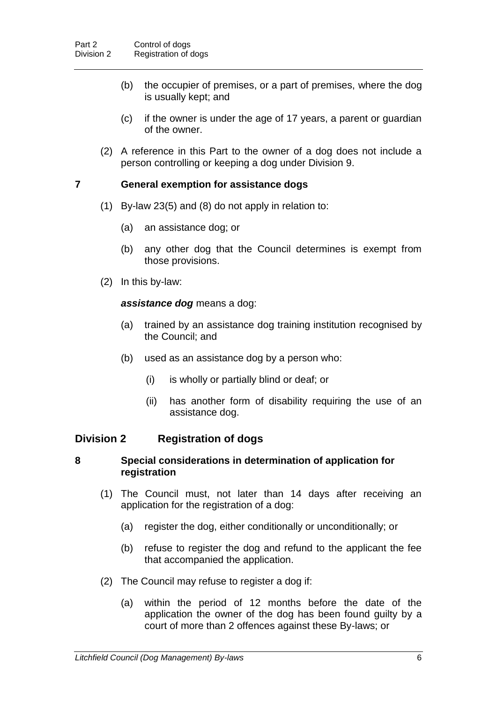- (b) the occupier of premises, or a part of premises, where the dog is usually kept; and
- (c) if the owner is under the age of 17 years, a parent or guardian of the owner.
- (2) A reference in this Part to the owner of a dog does not include a person controlling or keeping a dog under Division 9.

### **7 General exemption for assistance dogs**

- (1) By-law 23(5) and (8) do not apply in relation to:
	- (a) an assistance dog; or
	- (b) any other dog that the Council determines is exempt from those provisions.
- (2) In this by-law:

### *assistance dog* means a dog:

- (a) trained by an assistance dog training institution recognised by the Council; and
- (b) used as an assistance dog by a person who:
	- (i) is wholly or partially blind or deaf; or
	- (ii) has another form of disability requiring the use of an assistance dog.

### **Division 2 Registration of dogs**

### **8 Special considerations in determination of application for registration**

- (1) The Council must, not later than 14 days after receiving an application for the registration of a dog:
	- (a) register the dog, either conditionally or unconditionally; or
	- (b) refuse to register the dog and refund to the applicant the fee that accompanied the application.
- (2) The Council may refuse to register a dog if:
	- (a) within the period of 12 months before the date of the application the owner of the dog has been found guilty by a court of more than 2 offences against these By-laws; or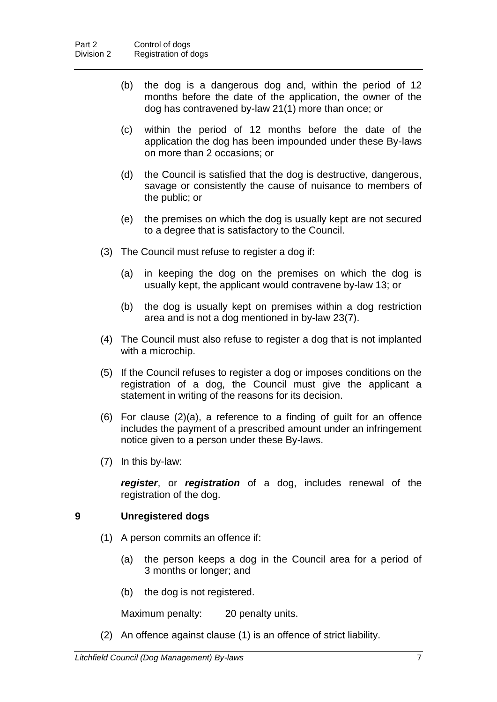- (b) the dog is a dangerous dog and, within the period of 12 months before the date of the application, the owner of the dog has contravened by-law 21(1) more than once; or
- (c) within the period of 12 months before the date of the application the dog has been impounded under these By-laws on more than 2 occasions; or
- (d) the Council is satisfied that the dog is destructive, dangerous, savage or consistently the cause of nuisance to members of the public; or
- (e) the premises on which the dog is usually kept are not secured to a degree that is satisfactory to the Council.
- (3) The Council must refuse to register a dog if:
	- (a) in keeping the dog on the premises on which the dog is usually kept, the applicant would contravene by-law 13; or
	- (b) the dog is usually kept on premises within a dog restriction area and is not a dog mentioned in by-law 23(7).
- (4) The Council must also refuse to register a dog that is not implanted with a microchip.
- (5) If the Council refuses to register a dog or imposes conditions on the registration of a dog, the Council must give the applicant a statement in writing of the reasons for its decision.
- (6) For clause (2)(a), a reference to a finding of guilt for an offence includes the payment of a prescribed amount under an infringement notice given to a person under these By-laws.
- (7) In this by-law:

*register*, or *registration* of a dog, includes renewal of the registration of the dog.

### **9 Unregistered dogs**

- (1) A person commits an offence if:
	- (a) the person keeps a dog in the Council area for a period of 3 months or longer; and
	- (b) the dog is not registered.

Maximum penalty: 20 penalty units.

(2) An offence against clause (1) is an offence of strict liability.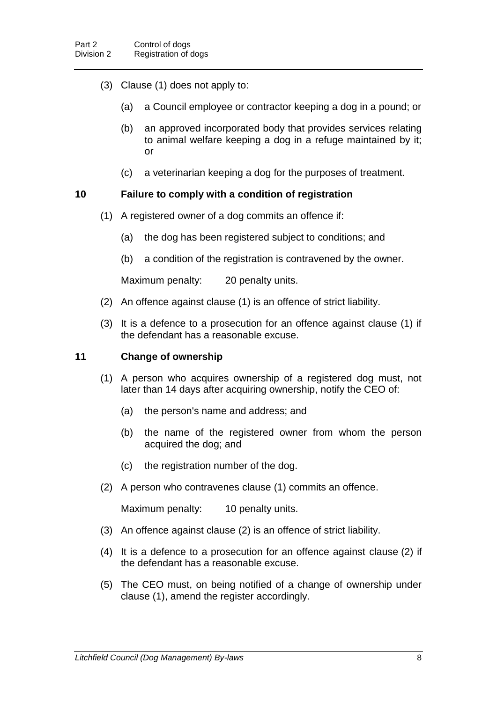- (3) Clause (1) does not apply to:
	- (a) a Council employee or contractor keeping a dog in a pound; or
	- (b) an approved incorporated body that provides services relating to animal welfare keeping a dog in a refuge maintained by it; or
	- (c) a veterinarian keeping a dog for the purposes of treatment.

### **10 Failure to comply with a condition of registration**

- (1) A registered owner of a dog commits an offence if:
	- (a) the dog has been registered subject to conditions; and
	- (b) a condition of the registration is contravened by the owner.

Maximum penalty: 20 penalty units.

- (2) An offence against clause (1) is an offence of strict liability.
- (3) It is a defence to a prosecution for an offence against clause (1) if the defendant has a reasonable excuse.

#### **11 Change of ownership**

- (1) A person who acquires ownership of a registered dog must, not later than 14 days after acquiring ownership, notify the CEO of:
	- (a) the person's name and address; and
	- (b) the name of the registered owner from whom the person acquired the dog; and
	- (c) the registration number of the dog.
- (2) A person who contravenes clause (1) commits an offence.

Maximum penalty: 10 penalty units.

- (3) An offence against clause (2) is an offence of strict liability.
- (4) It is a defence to a prosecution for an offence against clause (2) if the defendant has a reasonable excuse.
- (5) The CEO must, on being notified of a change of ownership under clause (1), amend the register accordingly.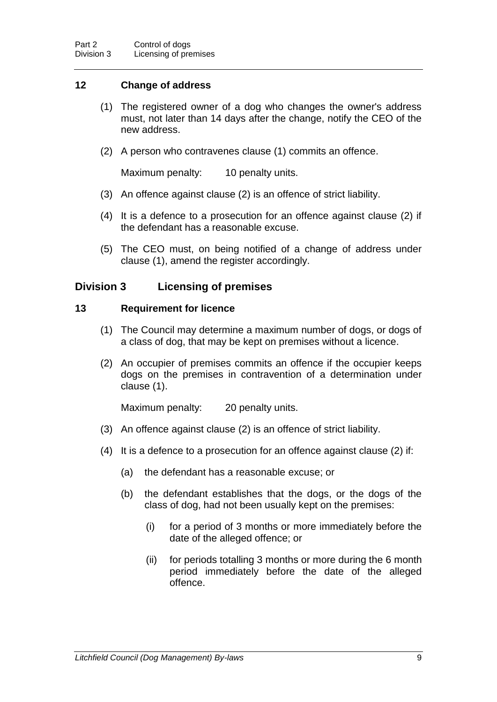### **12 Change of address**

- (1) The registered owner of a dog who changes the owner's address must, not later than 14 days after the change, notify the CEO of the new address.
- (2) A person who contravenes clause (1) commits an offence.

Maximum penalty: 10 penalty units.

- (3) An offence against clause (2) is an offence of strict liability.
- (4) It is a defence to a prosecution for an offence against clause (2) if the defendant has a reasonable excuse.
- (5) The CEO must, on being notified of a change of address under clause (1), amend the register accordingly.

### **Division 3 Licensing of premises**

### **13 Requirement for licence**

- (1) The Council may determine a maximum number of dogs, or dogs of a class of dog, that may be kept on premises without a licence.
- (2) An occupier of premises commits an offence if the occupier keeps dogs on the premises in contravention of a determination under clause (1).

Maximum penalty: 20 penalty units.

- (3) An offence against clause (2) is an offence of strict liability.
- (4) It is a defence to a prosecution for an offence against clause (2) if:
	- (a) the defendant has a reasonable excuse; or
	- (b) the defendant establishes that the dogs, or the dogs of the class of dog, had not been usually kept on the premises:
		- (i) for a period of 3 months or more immediately before the date of the alleged offence; or
		- (ii) for periods totalling 3 months or more during the 6 month period immediately before the date of the alleged offence.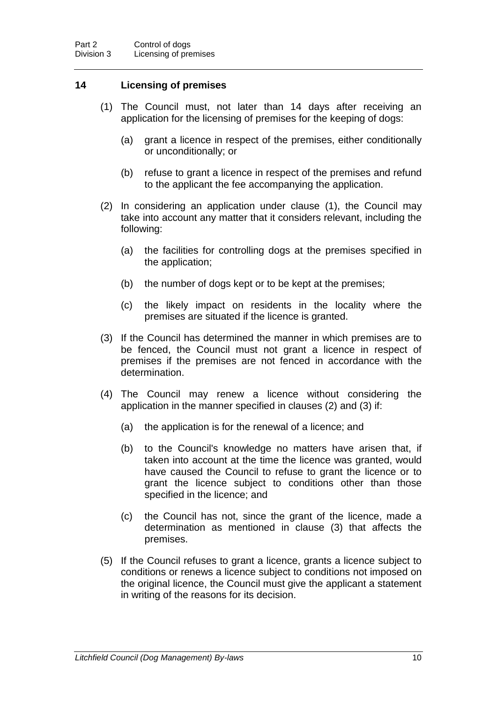### **14 Licensing of premises**

- (1) The Council must, not later than 14 days after receiving an application for the licensing of premises for the keeping of dogs:
	- (a) grant a licence in respect of the premises, either conditionally or unconditionally; or
	- (b) refuse to grant a licence in respect of the premises and refund to the applicant the fee accompanying the application.
- (2) In considering an application under clause (1), the Council may take into account any matter that it considers relevant, including the following:
	- (a) the facilities for controlling dogs at the premises specified in the application;
	- (b) the number of dogs kept or to be kept at the premises;
	- (c) the likely impact on residents in the locality where the premises are situated if the licence is granted.
- (3) If the Council has determined the manner in which premises are to be fenced, the Council must not grant a licence in respect of premises if the premises are not fenced in accordance with the determination.
- (4) The Council may renew a licence without considering the application in the manner specified in clauses (2) and (3) if:
	- (a) the application is for the renewal of a licence; and
	- (b) to the Council's knowledge no matters have arisen that, if taken into account at the time the licence was granted, would have caused the Council to refuse to grant the licence or to grant the licence subject to conditions other than those specified in the licence; and
	- (c) the Council has not, since the grant of the licence, made a determination as mentioned in clause (3) that affects the premises.
- (5) If the Council refuses to grant a licence, grants a licence subject to conditions or renews a licence subject to conditions not imposed on the original licence, the Council must give the applicant a statement in writing of the reasons for its decision.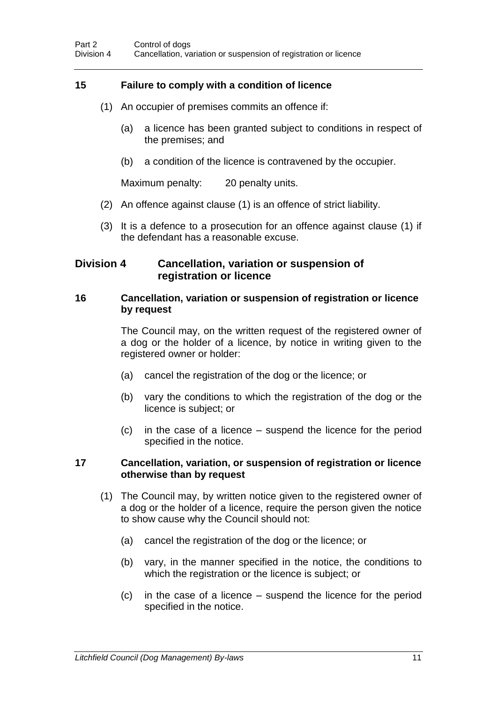### **15 Failure to comply with a condition of licence**

- (1) An occupier of premises commits an offence if:
	- (a) a licence has been granted subject to conditions in respect of the premises; and
	- (b) a condition of the licence is contravened by the occupier.

Maximum penalty: 20 penalty units.

- (2) An offence against clause (1) is an offence of strict liability.
- (3) It is a defence to a prosecution for an offence against clause (1) if the defendant has a reasonable excuse.

### **Division 4 Cancellation, variation or suspension of registration or licence**

### **16 Cancellation, variation or suspension of registration or licence by request**

The Council may, on the written request of the registered owner of a dog or the holder of a licence, by notice in writing given to the registered owner or holder:

- (a) cancel the registration of the dog or the licence; or
- (b) vary the conditions to which the registration of the dog or the licence is subject; or
- (c) in the case of a licence suspend the licence for the period specified in the notice.

### **17 Cancellation, variation, or suspension of registration or licence otherwise than by request**

- (1) The Council may, by written notice given to the registered owner of a dog or the holder of a licence, require the person given the notice to show cause why the Council should not:
	- (a) cancel the registration of the dog or the licence; or
	- (b) vary, in the manner specified in the notice, the conditions to which the registration or the licence is subject; or
	- (c) in the case of a licence suspend the licence for the period specified in the notice.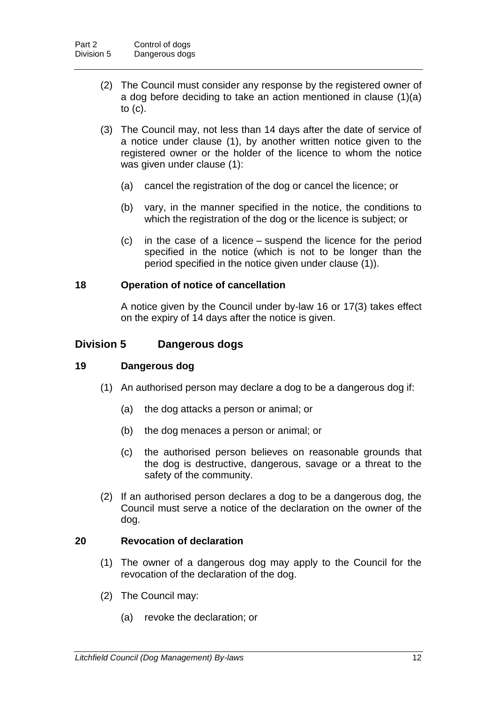- (2) The Council must consider any response by the registered owner of a dog before deciding to take an action mentioned in clause (1)(a) to (c).
- (3) The Council may, not less than 14 days after the date of service of a notice under clause (1), by another written notice given to the registered owner or the holder of the licence to whom the notice was given under clause (1):
	- (a) cancel the registration of the dog or cancel the licence; or
	- (b) vary, in the manner specified in the notice, the conditions to which the registration of the dog or the licence is subject; or
	- (c) in the case of a licence suspend the licence for the period specified in the notice (which is not to be longer than the period specified in the notice given under clause (1)).

### **18 Operation of notice of cancellation**

A notice given by the Council under by-law 16 or 17(3) takes effect on the expiry of 14 days after the notice is given.

### **Division 5 Dangerous dogs**

### **19 Dangerous dog**

- (1) An authorised person may declare a dog to be a dangerous dog if:
	- (a) the dog attacks a person or animal; or
	- (b) the dog menaces a person or animal; or
	- (c) the authorised person believes on reasonable grounds that the dog is destructive, dangerous, savage or a threat to the safety of the community.
- (2) If an authorised person declares a dog to be a dangerous dog, the Council must serve a notice of the declaration on the owner of the dog.

### **20 Revocation of declaration**

- (1) The owner of a dangerous dog may apply to the Council for the revocation of the declaration of the dog.
- (2) The Council may:
	- (a) revoke the declaration; or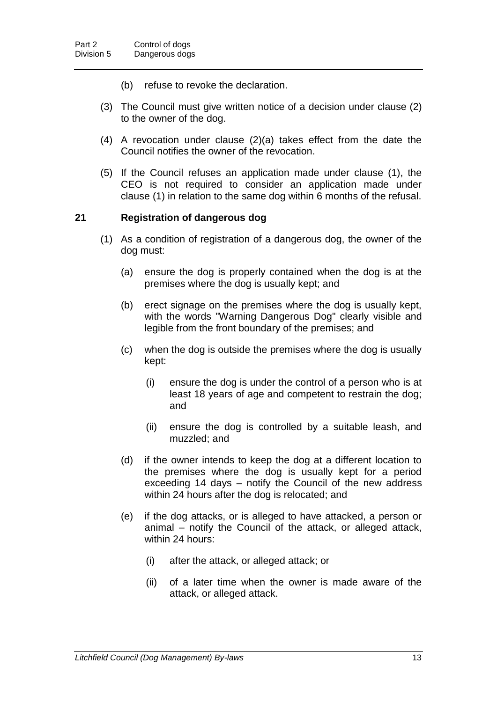- (b) refuse to revoke the declaration.
- (3) The Council must give written notice of a decision under clause (2) to the owner of the dog.
- (4) A revocation under clause (2)(a) takes effect from the date the Council notifies the owner of the revocation.
- (5) If the Council refuses an application made under clause (1), the CEO is not required to consider an application made under clause (1) in relation to the same dog within 6 months of the refusal.

### **21 Registration of dangerous dog**

- (1) As a condition of registration of a dangerous dog, the owner of the dog must:
	- (a) ensure the dog is properly contained when the dog is at the premises where the dog is usually kept; and
	- (b) erect signage on the premises where the dog is usually kept, with the words "Warning Dangerous Dog" clearly visible and legible from the front boundary of the premises; and
	- (c) when the dog is outside the premises where the dog is usually kept:
		- (i) ensure the dog is under the control of a person who is at least 18 years of age and competent to restrain the dog; and
		- (ii) ensure the dog is controlled by a suitable leash, and muzzled; and
	- (d) if the owner intends to keep the dog at a different location to the premises where the dog is usually kept for a period exceeding 14 days – notify the Council of the new address within 24 hours after the dog is relocated; and
	- (e) if the dog attacks, or is alleged to have attacked, a person or animal – notify the Council of the attack, or alleged attack, within 24 hours:
		- (i) after the attack, or alleged attack; or
		- (ii) of a later time when the owner is made aware of the attack, or alleged attack.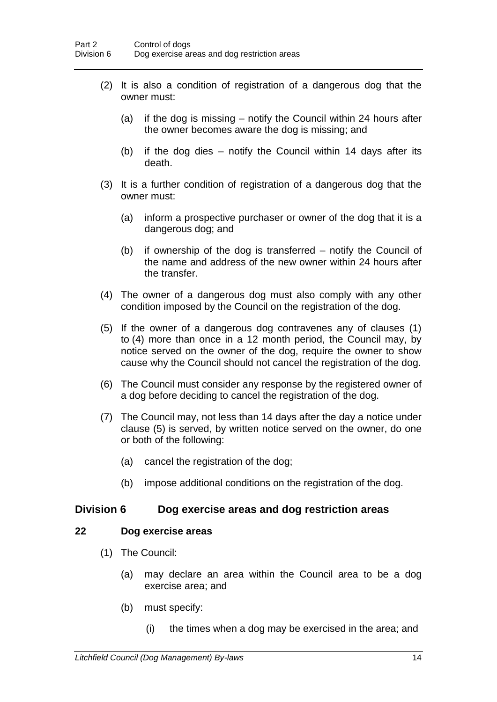- (2) It is also a condition of registration of a dangerous dog that the owner must:
	- (a) if the dog is missing notify the Council within 24 hours after the owner becomes aware the dog is missing; and
	- (b) if the dog dies notify the Council within 14 days after its death.
- (3) It is a further condition of registration of a dangerous dog that the owner must:
	- (a) inform a prospective purchaser or owner of the dog that it is a dangerous dog; and
	- (b) if ownership of the dog is transferred notify the Council of the name and address of the new owner within 24 hours after the transfer.
- (4) The owner of a dangerous dog must also comply with any other condition imposed by the Council on the registration of the dog.
- (5) If the owner of a dangerous dog contravenes any of clauses (1) to (4) more than once in a 12 month period, the Council may, by notice served on the owner of the dog, require the owner to show cause why the Council should not cancel the registration of the dog.
- (6) The Council must consider any response by the registered owner of a dog before deciding to cancel the registration of the dog.
- (7) The Council may, not less than 14 days after the day a notice under clause (5) is served, by written notice served on the owner, do one or both of the following:
	- (a) cancel the registration of the dog;
	- (b) impose additional conditions on the registration of the dog.

### **Division 6 Dog exercise areas and dog restriction areas**

### **22 Dog exercise areas**

- (1) The Council:
	- (a) may declare an area within the Council area to be a dog exercise area; and
	- (b) must specify:
		- (i) the times when a dog may be exercised in the area; and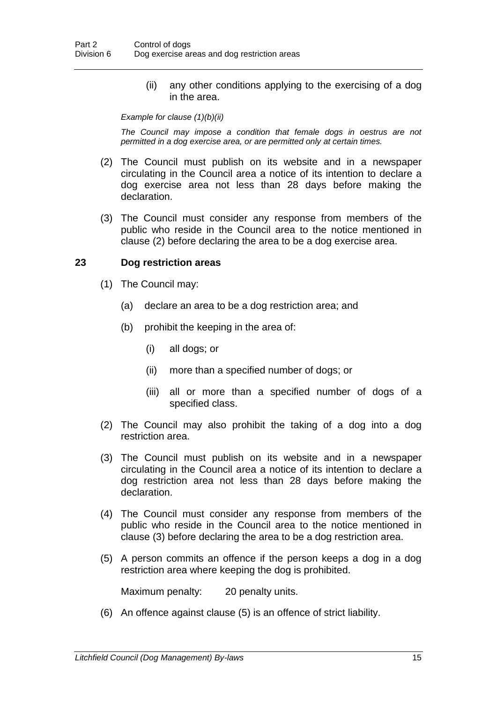(ii) any other conditions applying to the exercising of a dog in the area.

#### *Example for clause (1)(b)(ii)*

*The Council may impose a condition that female dogs in oestrus are not permitted in a dog exercise area, or are permitted only at certain times.*

- (2) The Council must publish on its website and in a newspaper circulating in the Council area a notice of its intention to declare a dog exercise area not less than 28 days before making the declaration.
- (3) The Council must consider any response from members of the public who reside in the Council area to the notice mentioned in clause (2) before declaring the area to be a dog exercise area.

### **23 Dog restriction areas**

- (1) The Council may:
	- (a) declare an area to be a dog restriction area; and
	- (b) prohibit the keeping in the area of:
		- (i) all dogs; or
		- (ii) more than a specified number of dogs; or
		- (iii) all or more than a specified number of dogs of a specified class.
- (2) The Council may also prohibit the taking of a dog into a dog restriction area.
- (3) The Council must publish on its website and in a newspaper circulating in the Council area a notice of its intention to declare a dog restriction area not less than 28 days before making the declaration.
- (4) The Council must consider any response from members of the public who reside in the Council area to the notice mentioned in clause (3) before declaring the area to be a dog restriction area.
- (5) A person commits an offence if the person keeps a dog in a dog restriction area where keeping the dog is prohibited.

Maximum penalty: 20 penalty units.

(6) An offence against clause (5) is an offence of strict liability.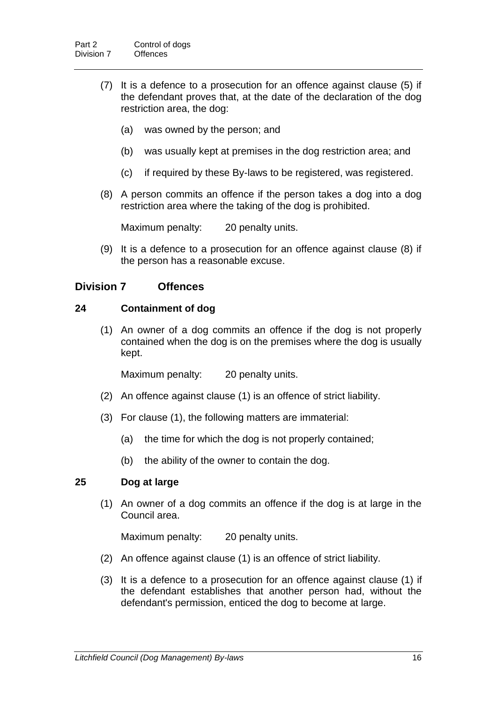- (7) It is a defence to a prosecution for an offence against clause (5) if the defendant proves that, at the date of the declaration of the dog restriction area, the dog:
	- (a) was owned by the person; and
	- (b) was usually kept at premises in the dog restriction area; and
	- (c) if required by these By-laws to be registered, was registered.
- (8) A person commits an offence if the person takes a dog into a dog restriction area where the taking of the dog is prohibited.

Maximum penalty: 20 penalty units.

(9) It is a defence to a prosecution for an offence against clause (8) if the person has a reasonable excuse.

### **Division 7 Offences**

### **24 Containment of dog**

(1) An owner of a dog commits an offence if the dog is not properly contained when the dog is on the premises where the dog is usually kept.

Maximum penalty: 20 penalty units.

- (2) An offence against clause (1) is an offence of strict liability.
- (3) For clause (1), the following matters are immaterial:
	- (a) the time for which the dog is not properly contained;
	- (b) the ability of the owner to contain the dog.

### **25 Dog at large**

(1) An owner of a dog commits an offence if the dog is at large in the Council area.

Maximum penalty: 20 penalty units.

- (2) An offence against clause (1) is an offence of strict liability.
- (3) It is a defence to a prosecution for an offence against clause (1) if the defendant establishes that another person had, without the defendant's permission, enticed the dog to become at large.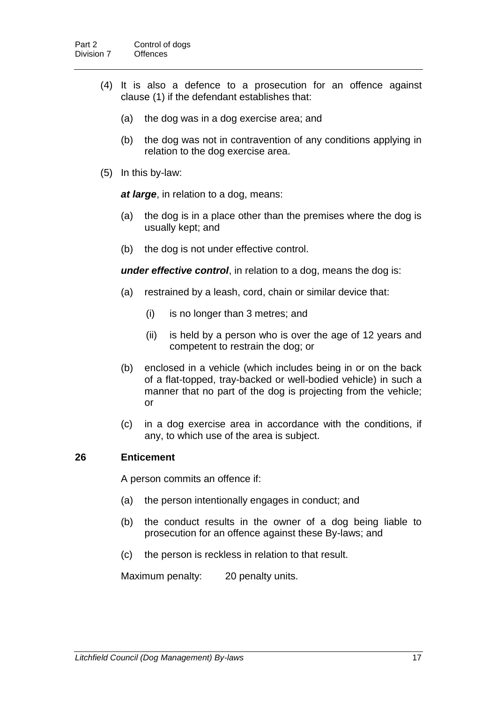- (4) It is also a defence to a prosecution for an offence against clause (1) if the defendant establishes that:
	- (a) the dog was in a dog exercise area; and
	- (b) the dog was not in contravention of any conditions applying in relation to the dog exercise area.
- (5) In this by-law:

*at large*, in relation to a dog, means:

- (a) the dog is in a place other than the premises where the dog is usually kept; and
- (b) the dog is not under effective control.

*under effective control*, in relation to a dog, means the dog is:

- (a) restrained by a leash, cord, chain or similar device that:
	- (i) is no longer than 3 metres; and
	- (ii) is held by a person who is over the age of 12 years and competent to restrain the dog; or
- (b) enclosed in a vehicle (which includes being in or on the back of a flat-topped, tray-backed or well-bodied vehicle) in such a manner that no part of the dog is projecting from the vehicle; or
- (c) in a dog exercise area in accordance with the conditions, if any, to which use of the area is subject.

### **26 Enticement**

A person commits an offence if:

- (a) the person intentionally engages in conduct; and
- (b) the conduct results in the owner of a dog being liable to prosecution for an offence against these By-laws; and
- (c) the person is reckless in relation to that result.

Maximum penalty: 20 penalty units.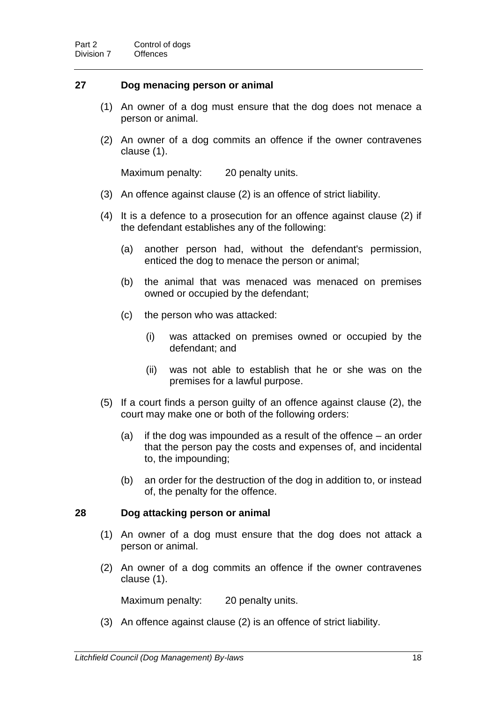### **27 Dog menacing person or animal**

- (1) An owner of a dog must ensure that the dog does not menace a person or animal.
- (2) An owner of a dog commits an offence if the owner contravenes clause (1).

Maximum penalty: 20 penalty units.

- (3) An offence against clause (2) is an offence of strict liability.
- (4) It is a defence to a prosecution for an offence against clause (2) if the defendant establishes any of the following:
	- (a) another person had, without the defendant's permission, enticed the dog to menace the person or animal;
	- (b) the animal that was menaced was menaced on premises owned or occupied by the defendant;
	- (c) the person who was attacked:
		- (i) was attacked on premises owned or occupied by the defendant; and
		- (ii) was not able to establish that he or she was on the premises for a lawful purpose.
- (5) If a court finds a person guilty of an offence against clause (2), the court may make one or both of the following orders:
	- (a) if the dog was impounded as a result of the offence an order that the person pay the costs and expenses of, and incidental to, the impounding;
	- (b) an order for the destruction of the dog in addition to, or instead of, the penalty for the offence.

#### **28 Dog attacking person or animal**

- (1) An owner of a dog must ensure that the dog does not attack a person or animal.
- (2) An owner of a dog commits an offence if the owner contravenes clause (1).

Maximum penalty: 20 penalty units.

(3) An offence against clause (2) is an offence of strict liability.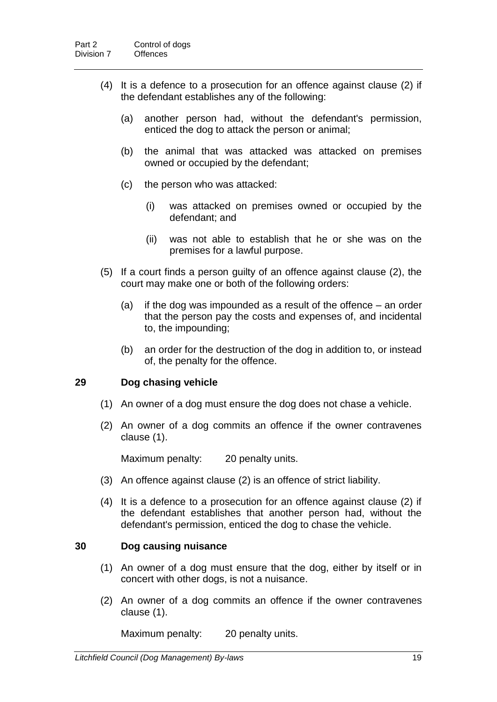- (4) It is a defence to a prosecution for an offence against clause (2) if the defendant establishes any of the following:
	- (a) another person had, without the defendant's permission, enticed the dog to attack the person or animal;
	- (b) the animal that was attacked was attacked on premises owned or occupied by the defendant;
	- (c) the person who was attacked:
		- (i) was attacked on premises owned or occupied by the defendant; and
		- (ii) was not able to establish that he or she was on the premises for a lawful purpose.
- (5) If a court finds a person guilty of an offence against clause (2), the court may make one or both of the following orders:
	- (a) if the dog was impounded as a result of the offence an order that the person pay the costs and expenses of, and incidental to, the impounding;
	- (b) an order for the destruction of the dog in addition to, or instead of, the penalty for the offence.

### **29 Dog chasing vehicle**

- (1) An owner of a dog must ensure the dog does not chase a vehicle.
- (2) An owner of a dog commits an offence if the owner contravenes clause (1).

Maximum penalty: 20 penalty units.

- (3) An offence against clause (2) is an offence of strict liability.
- (4) It is a defence to a prosecution for an offence against clause (2) if the defendant establishes that another person had, without the defendant's permission, enticed the dog to chase the vehicle.

### **30 Dog causing nuisance**

- (1) An owner of a dog must ensure that the dog, either by itself or in concert with other dogs, is not a nuisance.
- (2) An owner of a dog commits an offence if the owner contravenes clause (1).

Maximum penalty: 20 penalty units.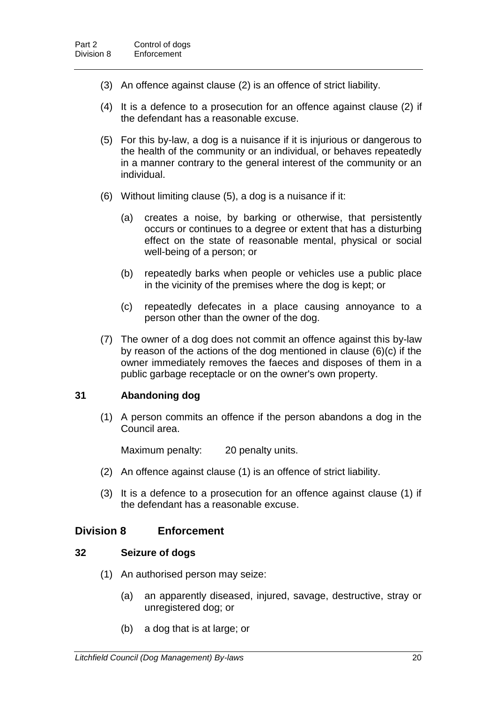- (3) An offence against clause (2) is an offence of strict liability.
- (4) It is a defence to a prosecution for an offence against clause (2) if the defendant has a reasonable excuse.
- (5) For this by-law, a dog is a nuisance if it is injurious or dangerous to the health of the community or an individual, or behaves repeatedly in a manner contrary to the general interest of the community or an individual.
- (6) Without limiting clause (5), a dog is a nuisance if it:
	- (a) creates a noise, by barking or otherwise, that persistently occurs or continues to a degree or extent that has a disturbing effect on the state of reasonable mental, physical or social well-being of a person; or
	- (b) repeatedly barks when people or vehicles use a public place in the vicinity of the premises where the dog is kept; or
	- (c) repeatedly defecates in a place causing annoyance to a person other than the owner of the dog.
- (7) The owner of a dog does not commit an offence against this by-law by reason of the actions of the dog mentioned in clause (6)(c) if the owner immediately removes the faeces and disposes of them in a public garbage receptacle or on the owner's own property.

### **31 Abandoning dog**

(1) A person commits an offence if the person abandons a dog in the Council area.

Maximum penalty: 20 penalty units.

- (2) An offence against clause (1) is an offence of strict liability.
- (3) It is a defence to a prosecution for an offence against clause (1) if the defendant has a reasonable excuse.

### **Division 8 Enforcement**

### **32 Seizure of dogs**

- (1) An authorised person may seize:
	- (a) an apparently diseased, injured, savage, destructive, stray or unregistered dog; or
	- (b) a dog that is at large; or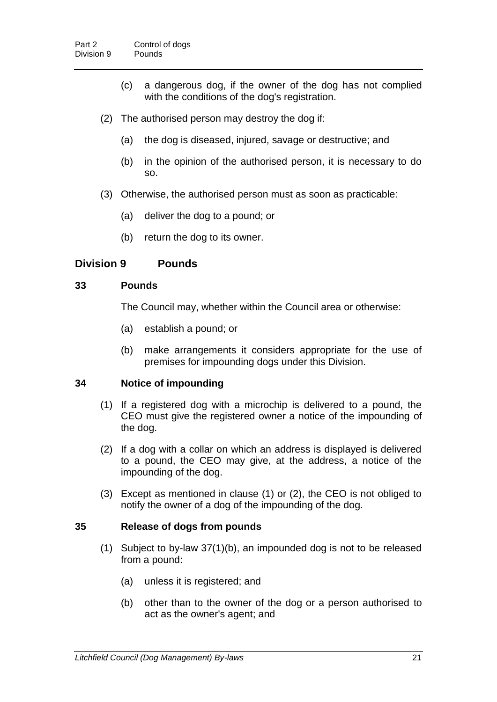- (c) a dangerous dog, if the owner of the dog has not complied with the conditions of the dog's registration.
- (2) The authorised person may destroy the dog if:
	- (a) the dog is diseased, injured, savage or destructive; and
	- (b) in the opinion of the authorised person, it is necessary to do so.
- (3) Otherwise, the authorised person must as soon as practicable:
	- (a) deliver the dog to a pound; or
	- (b) return the dog to its owner.

### **Division 9 Pounds**

### **33 Pounds**

The Council may, whether within the Council area or otherwise:

- (a) establish a pound; or
- (b) make arrangements it considers appropriate for the use of premises for impounding dogs under this Division.

### **34 Notice of impounding**

- (1) If a registered dog with a microchip is delivered to a pound, the CEO must give the registered owner a notice of the impounding of the dog.
- (2) If a dog with a collar on which an address is displayed is delivered to a pound, the CEO may give, at the address, a notice of the impounding of the dog.
- (3) Except as mentioned in clause (1) or (2), the CEO is not obliged to notify the owner of a dog of the impounding of the dog.

### **35 Release of dogs from pounds**

- (1) Subject to by-law 37(1)(b), an impounded dog is not to be released from a pound:
	- (a) unless it is registered; and
	- (b) other than to the owner of the dog or a person authorised to act as the owner's agent; and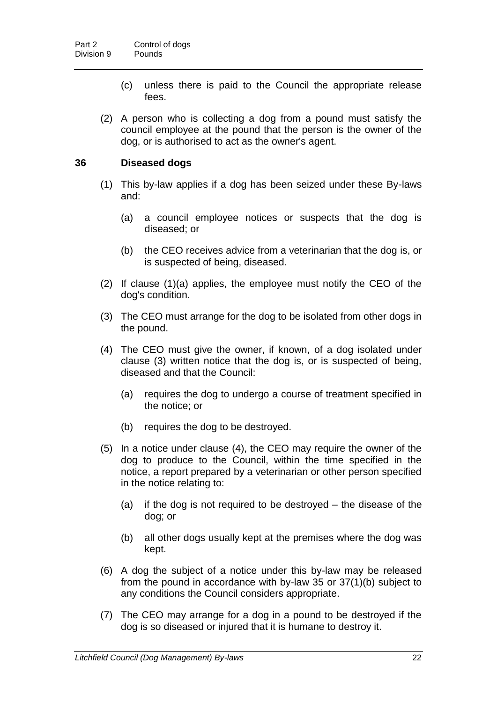- (c) unless there is paid to the Council the appropriate release fees.
- (2) A person who is collecting a dog from a pound must satisfy the council employee at the pound that the person is the owner of the dog, or is authorised to act as the owner's agent.

### **36 Diseased dogs**

- (1) This by-law applies if a dog has been seized under these By-laws and:
	- (a) a council employee notices or suspects that the dog is diseased; or
	- (b) the CEO receives advice from a veterinarian that the dog is, or is suspected of being, diseased.
- (2) If clause (1)(a) applies, the employee must notify the CEO of the dog's condition.
- (3) The CEO must arrange for the dog to be isolated from other dogs in the pound.
- (4) The CEO must give the owner, if known, of a dog isolated under clause (3) written notice that the dog is, or is suspected of being, diseased and that the Council:
	- (a) requires the dog to undergo a course of treatment specified in the notice; or
	- (b) requires the dog to be destroyed.
- (5) In a notice under clause (4), the CEO may require the owner of the dog to produce to the Council, within the time specified in the notice, a report prepared by a veterinarian or other person specified in the notice relating to:
	- (a) if the dog is not required to be destroyed the disease of the dog; or
	- (b) all other dogs usually kept at the premises where the dog was kept.
- (6) A dog the subject of a notice under this by-law may be released from the pound in accordance with by-law 35 or 37(1)(b) subject to any conditions the Council considers appropriate.
- (7) The CEO may arrange for a dog in a pound to be destroyed if the dog is so diseased or injured that it is humane to destroy it.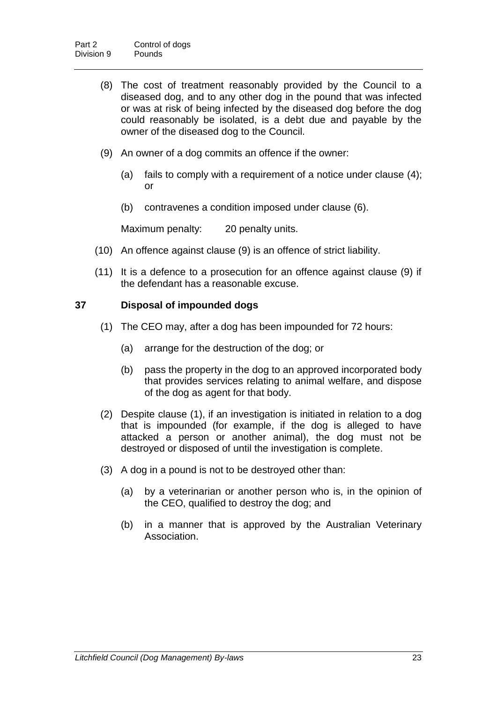- (8) The cost of treatment reasonably provided by the Council to a diseased dog, and to any other dog in the pound that was infected or was at risk of being infected by the diseased dog before the dog could reasonably be isolated, is a debt due and payable by the owner of the diseased dog to the Council.
- (9) An owner of a dog commits an offence if the owner:
	- (a) fails to comply with a requirement of a notice under clause (4); or
	- (b) contravenes a condition imposed under clause (6).

Maximum penalty: 20 penalty units.

- (10) An offence against clause (9) is an offence of strict liability.
- (11) It is a defence to a prosecution for an offence against clause (9) if the defendant has a reasonable excuse.

### **37 Disposal of impounded dogs**

- (1) The CEO may, after a dog has been impounded for 72 hours:
	- (a) arrange for the destruction of the dog; or
	- (b) pass the property in the dog to an approved incorporated body that provides services relating to animal welfare, and dispose of the dog as agent for that body.
- (2) Despite clause (1), if an investigation is initiated in relation to a dog that is impounded (for example, if the dog is alleged to have attacked a person or another animal), the dog must not be destroyed or disposed of until the investigation is complete.
- (3) A dog in a pound is not to be destroyed other than:
	- (a) by a veterinarian or another person who is, in the opinion of the CEO, qualified to destroy the dog; and
	- (b) in a manner that is approved by the Australian Veterinary Association.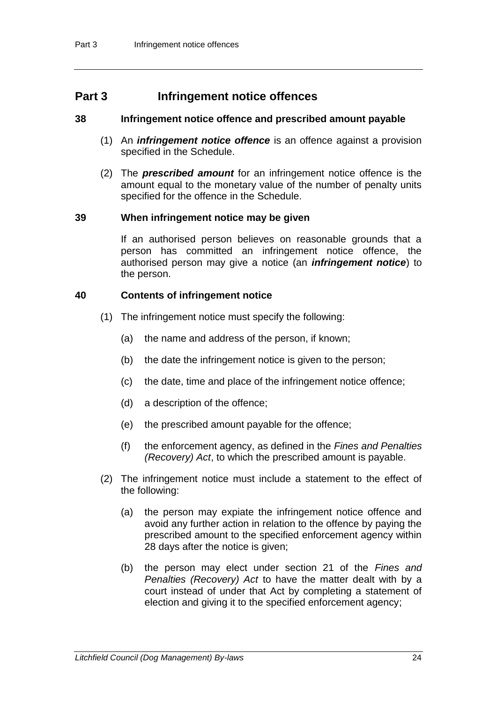# **Part 3 Infringement notice offences**

### **38 Infringement notice offence and prescribed amount payable**

- (1) An *infringement notice offence* is an offence against a provision specified in the Schedule.
- (2) The *prescribed amount* for an infringement notice offence is the amount equal to the monetary value of the number of penalty units specified for the offence in the Schedule.

### **39 When infringement notice may be given**

If an authorised person believes on reasonable grounds that a person has committed an infringement notice offence, the authorised person may give a notice (an *infringement notice*) to the person.

### **40 Contents of infringement notice**

- (1) The infringement notice must specify the following:
	- (a) the name and address of the person, if known;
	- (b) the date the infringement notice is given to the person;
	- (c) the date, time and place of the infringement notice offence;
	- (d) a description of the offence;
	- (e) the prescribed amount payable for the offence;
	- (f) the enforcement agency, as defined in the *Fines and Penalties (Recovery) Act*, to which the prescribed amount is payable.
- (2) The infringement notice must include a statement to the effect of the following:
	- (a) the person may expiate the infringement notice offence and avoid any further action in relation to the offence by paying the prescribed amount to the specified enforcement agency within 28 days after the notice is given;
	- (b) the person may elect under section 21 of the *Fines and Penalties (Recovery) Act* to have the matter dealt with by a court instead of under that Act by completing a statement of election and giving it to the specified enforcement agency;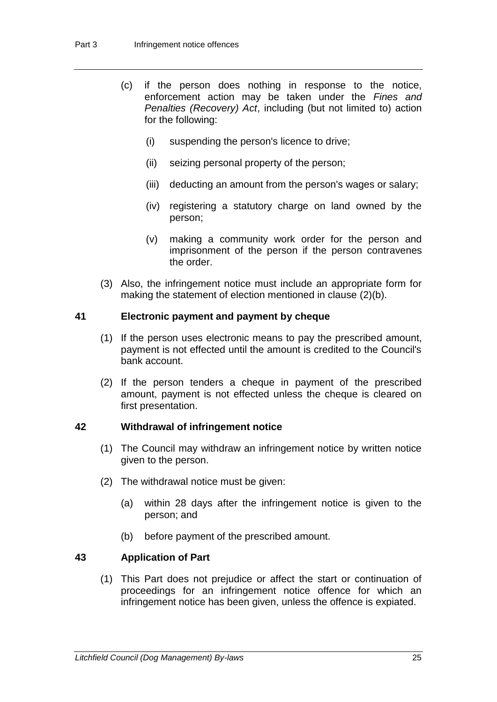- (c) if the person does nothing in response to the notice, enforcement action may be taken under the *Fines and Penalties (Recovery) Act*, including (but not limited to) action for the following:
	- (i) suspending the person's licence to drive;
	- (ii) seizing personal property of the person;
	- (iii) deducting an amount from the person's wages or salary;
	- (iv) registering a statutory charge on land owned by the person;
	- (v) making a community work order for the person and imprisonment of the person if the person contravenes the order.
- (3) Also, the infringement notice must include an appropriate form for making the statement of election mentioned in clause (2)(b).

### **41 Electronic payment and payment by cheque**

- (1) If the person uses electronic means to pay the prescribed amount, payment is not effected until the amount is credited to the Council's bank account.
- (2) If the person tenders a cheque in payment of the prescribed amount, payment is not effected unless the cheque is cleared on first presentation.

### **42 Withdrawal of infringement notice**

- (1) The Council may withdraw an infringement notice by written notice given to the person.
- (2) The withdrawal notice must be given:
	- (a) within 28 days after the infringement notice is given to the person; and
	- (b) before payment of the prescribed amount.

### **43 Application of Part**

(1) This Part does not prejudice or affect the start or continuation of proceedings for an infringement notice offence for which an infringement notice has been given, unless the offence is expiated.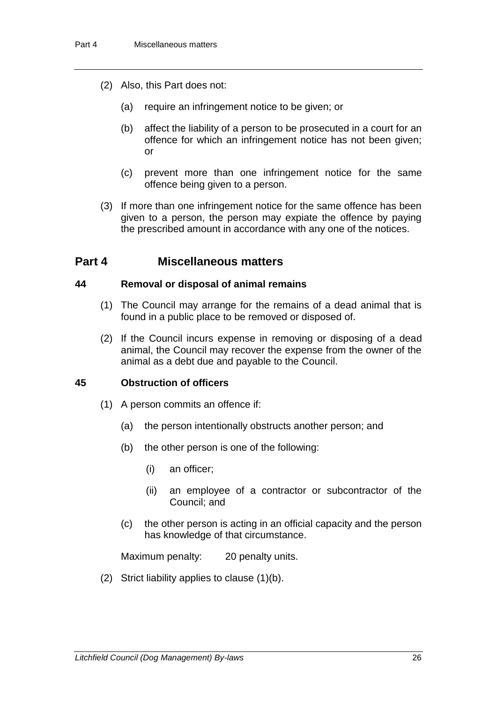- (2) Also, this Part does not:
	- (a) require an infringement notice to be given; or
	- (b) affect the liability of a person to be prosecuted in a court for an offence for which an infringement notice has not been given; or
	- (c) prevent more than one infringement notice for the same offence being given to a person.
- (3) If more than one infringement notice for the same offence has been given to a person, the person may expiate the offence by paying the prescribed amount in accordance with any one of the notices.

# **Part 4 Miscellaneous matters**

### **44 Removal or disposal of animal remains**

- (1) The Council may arrange for the remains of a dead animal that is found in a public place to be removed or disposed of.
- (2) If the Council incurs expense in removing or disposing of a dead animal, the Council may recover the expense from the owner of the animal as a debt due and payable to the Council.

### **45 Obstruction of officers**

- (1) A person commits an offence if:
	- (a) the person intentionally obstructs another person; and
	- (b) the other person is one of the following:
		- (i) an officer;
		- (ii) an employee of a contractor or subcontractor of the Council; and
	- (c) the other person is acting in an official capacity and the person has knowledge of that circumstance.

Maximum penalty: 20 penalty units.

(2) Strict liability applies to clause (1)(b).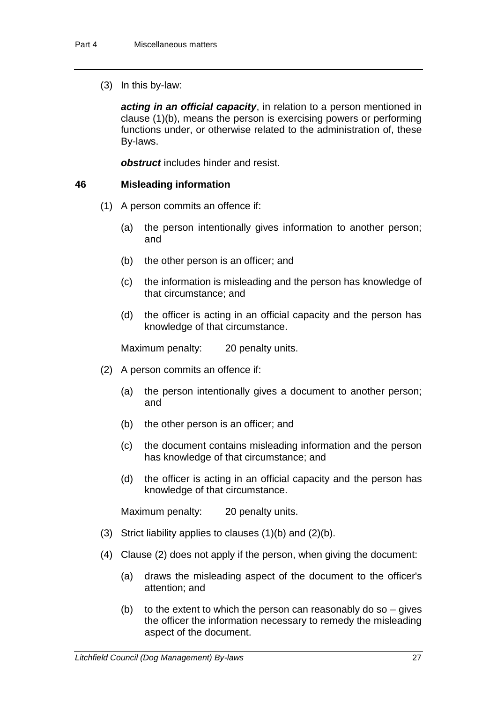(3) In this by-law:

*acting in an official capacity*, in relation to a person mentioned in clause (1)(b), means the person is exercising powers or performing functions under, or otherwise related to the administration of, these By-laws.

*obstruct* includes hinder and resist.

### **46 Misleading information**

- (1) A person commits an offence if:
	- (a) the person intentionally gives information to another person; and
	- (b) the other person is an officer; and
	- (c) the information is misleading and the person has knowledge of that circumstance; and
	- (d) the officer is acting in an official capacity and the person has knowledge of that circumstance.

Maximum penalty: 20 penalty units.

- (2) A person commits an offence if:
	- (a) the person intentionally gives a document to another person; and
	- (b) the other person is an officer; and
	- (c) the document contains misleading information and the person has knowledge of that circumstance; and
	- (d) the officer is acting in an official capacity and the person has knowledge of that circumstance.

Maximum penalty: 20 penalty units.

- (3) Strict liability applies to clauses (1)(b) and (2)(b).
- (4) Clause (2) does not apply if the person, when giving the document:
	- (a) draws the misleading aspect of the document to the officer's attention; and
	- (b) to the extent to which the person can reasonably do so  $-$  gives the officer the information necessary to remedy the misleading aspect of the document.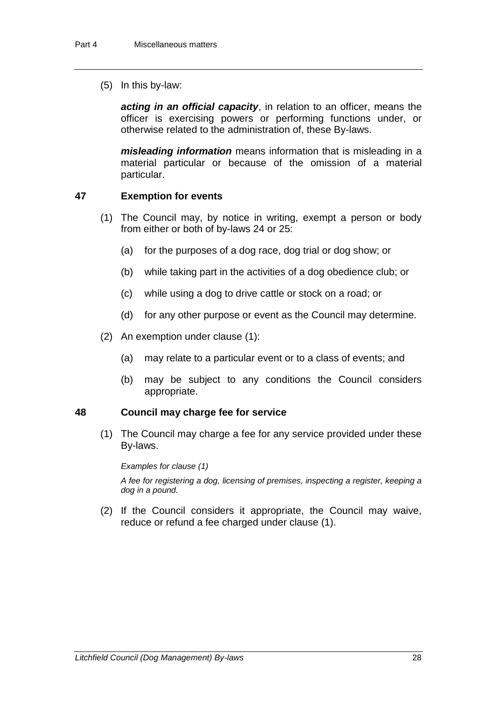(5) In this by-law:

*acting in an official capacity*, in relation to an officer, means the officer is exercising powers or performing functions under, or otherwise related to the administration of, these By-laws.

*misleading information* means information that is misleading in a material particular or because of the omission of a material particular.

### **47 Exemption for events**

- (1) The Council may, by notice in writing, exempt a person or body from either or both of by-laws 24 or 25:
	- (a) for the purposes of a dog race, dog trial or dog show; or
	- (b) while taking part in the activities of a dog obedience club; or
	- (c) while using a dog to drive cattle or stock on a road; or
	- (d) for any other purpose or event as the Council may determine.
- (2) An exemption under clause (1):
	- (a) may relate to a particular event or to a class of events; and
	- (b) may be subject to any conditions the Council considers appropriate.

### **48 Council may charge fee for service**

(1) The Council may charge a fee for any service provided under these By-laws.

#### *Examples for clause (1)*

*A fee for registering a dog, licensing of premises, inspecting a register, keeping a dog in a pound.*

(2) If the Council considers it appropriate, the Council may waive, reduce or refund a fee charged under clause (1).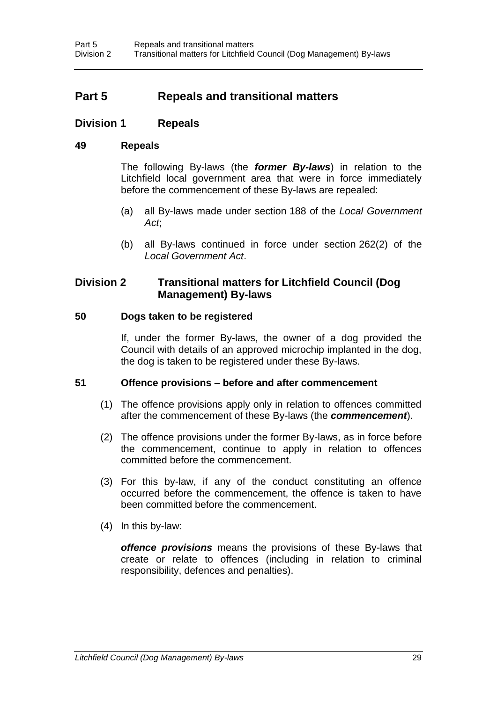# **Part 5 Repeals and transitional matters**

### **Division 1 Repeals**

### **49 Repeals**

The following By-laws (the *former By-laws*) in relation to the Litchfield local government area that were in force immediately before the commencement of these By-laws are repealed:

- (a) all By-laws made under section 188 of the *Local Government Act*;
- (b) all By-laws continued in force under section 262(2) of the *Local Government Act*.

### **Division 2 Transitional matters for Litchfield Council (Dog Management) By-laws**

### **50 Dogs taken to be registered**

If, under the former By-laws, the owner of a dog provided the Council with details of an approved microchip implanted in the dog, the dog is taken to be registered under these By-laws.

#### **51 Offence provisions – before and after commencement**

- (1) The offence provisions apply only in relation to offences committed after the commencement of these By-laws (the *commencement*).
- (2) The offence provisions under the former By-laws, as in force before the commencement, continue to apply in relation to offences committed before the commencement.
- (3) For this by-law, if any of the conduct constituting an offence occurred before the commencement, the offence is taken to have been committed before the commencement.
- (4) In this by-law:

*offence provisions* means the provisions of these By-laws that create or relate to offences (including in relation to criminal responsibility, defences and penalties).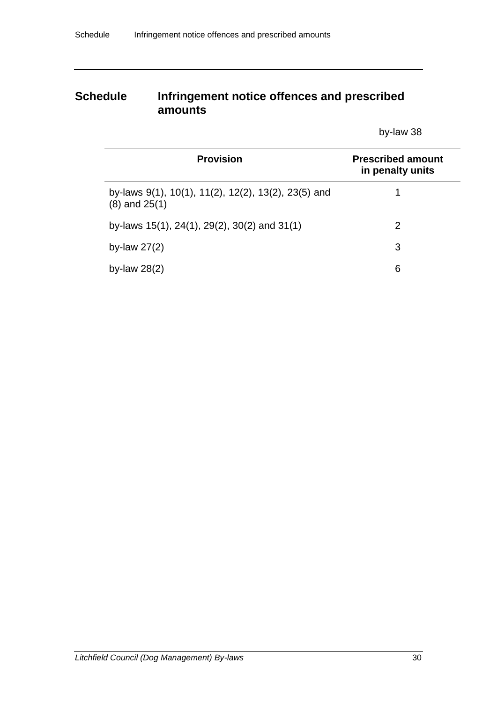# **Schedule Infringement notice offences and prescribed amounts**

by-law 38

| <b>Provision</b>                                                         | <b>Prescribed amount</b><br>in penalty units |
|--------------------------------------------------------------------------|----------------------------------------------|
| by-laws 9(1), 10(1), 11(2), 12(2), 13(2), 23(5) and<br>$(8)$ and $25(1)$ |                                              |
| by-laws 15(1), 24(1), 29(2), 30(2) and 31(1)                             | 2                                            |
| by-law $27(2)$                                                           | 3                                            |
| by-law $28(2)$                                                           | 6                                            |